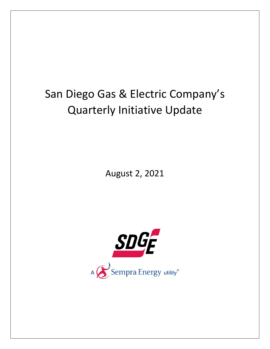## San Diego Gas & Electric Company's Quarterly Initiative Update

August 2, 2021